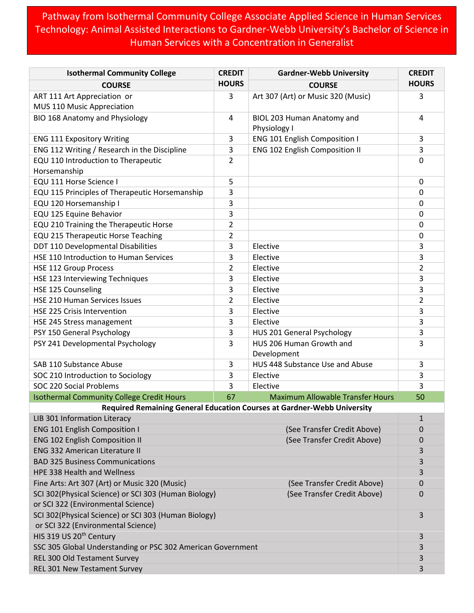Pathway from Isothermal Community College Associate Applied Science in Human Services Technology: Animal Assisted Interactions to Gardner-Webb University's Bachelor of Science in Human Services with a Concentration in Generalist

| <b>Isothermal Community College</b>                                                                                       | <b>CREDIT</b>  | <b>Gardner-Webb University</b>             | <b>CREDIT</b> |  |
|---------------------------------------------------------------------------------------------------------------------------|----------------|--------------------------------------------|---------------|--|
| <b>COURSE</b>                                                                                                             | <b>HOURS</b>   | <b>COURSE</b>                              | <b>HOURS</b>  |  |
| ART 111 Art Appreciation or                                                                                               | 3              | Art 307 (Art) or Music 320 (Music)         | 3             |  |
| MUS 110 Music Appreciation                                                                                                |                |                                            |               |  |
| BIO 168 Anatomy and Physiology                                                                                            | 4              | BIOL 203 Human Anatomy and<br>Physiology I | 4             |  |
| <b>ENG 111 Expository Writing</b>                                                                                         | 3              | <b>ENG 101 English Composition I</b>       | 3             |  |
| ENG 112 Writing / Research in the Discipline                                                                              | 3              | <b>ENG 102 English Composition II</b>      | 3             |  |
| EQU 110 Introduction to Therapeutic<br>Horsemanship                                                                       | 2              |                                            | 0             |  |
| EQU 111 Horse Science I                                                                                                   | 5              |                                            | 0             |  |
| EQU 115 Principles of Therapeutic Horsemanship                                                                            | 3              |                                            | $\mathbf 0$   |  |
| EQU 120 Horsemanship I                                                                                                    | 3              |                                            | 0             |  |
| EQU 125 Equine Behavior                                                                                                   | 3              |                                            | 0             |  |
| EQU 210 Training the Therapeutic Horse                                                                                    | 2              |                                            | 0             |  |
| EQU 215 Therapeutic Horse Teaching                                                                                        | $\overline{2}$ |                                            | 0             |  |
| DDT 110 Developmental Disabilities                                                                                        | 3              | Elective                                   | 3             |  |
| HSE 110 Introduction to Human Services                                                                                    | 3              | Elective                                   | 3             |  |
| <b>HSE 112 Group Process</b>                                                                                              | 2              | Elective                                   | 2             |  |
| HSE 123 Interviewing Techniques                                                                                           | 3              | Elective                                   | 3             |  |
| HSE 125 Counseling                                                                                                        | 3              | Elective                                   | 3             |  |
| HSE 210 Human Services Issues                                                                                             | 2              | Elective                                   | 2             |  |
| <b>HSE 225 Crisis Intervention</b>                                                                                        | 3              | Elective                                   | 3             |  |
| HSE 245 Stress management                                                                                                 | 3              | Elective                                   | 3             |  |
| PSY 150 General Psychology                                                                                                | 3              | HUS 201 General Psychology                 | 3             |  |
| PSY 241 Developmental Psychology                                                                                          | 3              | HUS 206 Human Growth and<br>Development    | 3             |  |
| SAB 110 Substance Abuse                                                                                                   | 3              | HUS 448 Substance Use and Abuse            | 3             |  |
| SOC 210 Introduction to Sociology                                                                                         | 3              | Elective                                   | 3             |  |
| SOC 220 Social Problems                                                                                                   | 3              | Elective                                   | 3             |  |
| <b>Isothermal Community College Credit Hours</b>                                                                          | 67             | <b>Maximum Allowable Transfer Hours</b>    | 50            |  |
| <b>Required Remaining General Education Courses at Gardner-Webb University</b>                                            |                |                                            |               |  |
| LIB 301 Information Literacy                                                                                              |                |                                            | 1             |  |
| <b>ENG 101 English Composition I</b>                                                                                      |                | (See Transfer Credit Above)                | 0             |  |
| <b>ENG 102 English Composition II</b><br>(See Transfer Credit Above)                                                      |                | 0                                          |               |  |
| <b>ENG 332 American Literature II</b>                                                                                     |                |                                            | 3             |  |
| <b>BAD 325 Business Communications</b>                                                                                    |                |                                            | 3             |  |
| HPE 338 Health and Wellness                                                                                               |                |                                            | 3             |  |
| Fine Arts: Art 307 (Art) or Music 320 (Music)                                                                             |                | (See Transfer Credit Above)                | 0             |  |
| SCI 302(Physical Science) or SCI 303 (Human Biology)<br>(See Transfer Credit Above)<br>or SCI 322 (Environmental Science) |                |                                            | 0             |  |
| SCI 302(Physical Science) or SCI 303 (Human Biology)<br>or SCI 322 (Environmental Science)                                |                |                                            | 3             |  |
| HIS 319 US 20 <sup>th</sup> Century                                                                                       |                |                                            | 3             |  |
| SSC 305 Global Understanding or PSC 302 American Government                                                               |                |                                            | 3             |  |
| REL 300 Old Testament Survey                                                                                              |                |                                            | 3             |  |
| REL 301 New Testament Survey                                                                                              |                |                                            | 3             |  |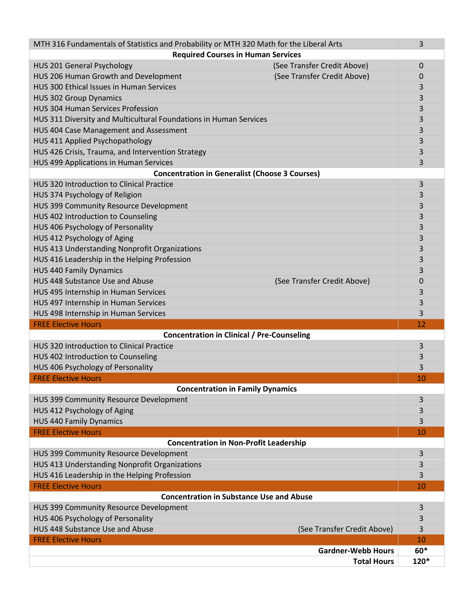| MTH 316 Fundamentals of Statistics and Probability or MTH 320 Math for the Liberal Arts<br>3 |                             |       |  |
|----------------------------------------------------------------------------------------------|-----------------------------|-------|--|
| <b>Required Courses in Human Services</b>                                                    |                             |       |  |
| <b>HUS 201 General Psychology</b>                                                            | (See Transfer Credit Above) | 0     |  |
| HUS 206 Human Growth and Development                                                         | (See Transfer Credit Above) | 0     |  |
| HUS 300 Ethical Issues in Human Services                                                     |                             | 3     |  |
| <b>HUS 302 Group Dynamics</b>                                                                |                             | 3     |  |
| <b>HUS 304 Human Services Profession</b>                                                     |                             | 3     |  |
| HUS 311 Diversity and Multicultural Foundations in Human Services                            |                             | 3     |  |
| HUS 404 Case Management and Assessment                                                       |                             | 3     |  |
| HUS 411 Applied Psychopathology                                                              |                             | 3     |  |
| HUS 426 Crisis, Trauma, and Intervention Strategy                                            |                             | 3     |  |
| HUS 499 Applications in Human Services                                                       |                             | 3     |  |
| <b>Concentration in Generalist (Choose 3 Courses)</b>                                        |                             |       |  |
| <b>HUS 320 Introduction to Clinical Practice</b>                                             |                             | 3     |  |
| HUS 374 Psychology of Religion                                                               |                             | 3     |  |
| HUS 399 Community Resource Development                                                       |                             | 3     |  |
| HUS 402 Introduction to Counseling                                                           |                             | 3     |  |
| HUS 406 Psychology of Personality                                                            |                             | 3     |  |
| HUS 412 Psychology of Aging                                                                  |                             | 3     |  |
| HUS 413 Understanding Nonprofit Organizations                                                |                             | 3     |  |
| HUS 416 Leadership in the Helping Profession                                                 |                             | 3     |  |
| <b>HUS 440 Family Dynamics</b>                                                               |                             | 3     |  |
| HUS 448 Substance Use and Abuse                                                              | (See Transfer Credit Above) | 0     |  |
| HUS 495 Internship in Human Services                                                         |                             | 3     |  |
| HUS 497 Internship in Human Services                                                         |                             | 3     |  |
| HUS 498 Internship in Human Services                                                         |                             | 3     |  |
| <b>FREE Elective Hours</b><br>12<br><b>Concentration in Clinical / Pre-Counseling</b>        |                             |       |  |
| HUS 320 Introduction to Clinical Practice                                                    |                             | 3     |  |
| HUS 402 Introduction to Counseling                                                           |                             | 3     |  |
| HUS 406 Psychology of Personality                                                            |                             | 3     |  |
| <b>FREE Elective Hours</b>                                                                   |                             | 10    |  |
| <b>Concentration in Family Dynamics</b>                                                      |                             |       |  |
| HUS 399 Community Resource Development                                                       |                             | 3     |  |
| HUS 412 Psychology of Aging                                                                  |                             | 3     |  |
| <b>HUS 440 Family Dynamics</b>                                                               |                             | 3     |  |
| <b>FREE Elective Hours</b>                                                                   |                             | 10    |  |
| <b>Concentration in Non-Profit Leadership</b>                                                |                             |       |  |
| HUS 399 Community Resource Development                                                       |                             | 3     |  |
| HUS 413 Understanding Nonprofit Organizations                                                |                             | 3     |  |
| HUS 416 Leadership in the Helping Profession                                                 |                             | 3     |  |
| <b>FREE Elective Hours</b>                                                                   |                             | 10    |  |
| <b>Concentration in Substance Use and Abuse</b>                                              |                             |       |  |
| HUS 399 Community Resource Development                                                       |                             | 3     |  |
| HUS 406 Psychology of Personality                                                            |                             | 3     |  |
| HUS 448 Substance Use and Abuse                                                              | (See Transfer Credit Above) | 3     |  |
| <b>FREE Elective Hours</b>                                                                   |                             | 10    |  |
|                                                                                              | <b>Gardner-Webb Hours</b>   | $60*$ |  |
|                                                                                              | <b>Total Hours</b>          | 120*  |  |